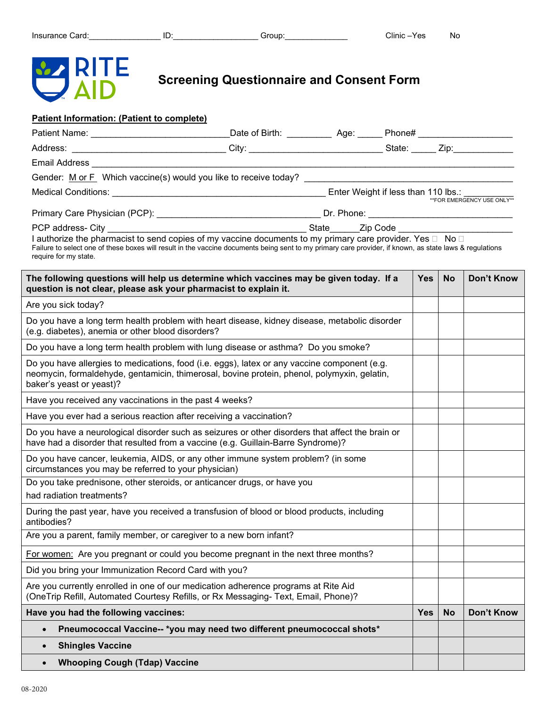

**Screening Questionnaire and Consent Form**

## **Patient Information: (Patient to complete)**

|                                      | Email Address National Address National Address National Address National Address                                                                                                                                                                                    |  |            |           |                             |
|--------------------------------------|----------------------------------------------------------------------------------------------------------------------------------------------------------------------------------------------------------------------------------------------------------------------|--|------------|-----------|-----------------------------|
|                                      |                                                                                                                                                                                                                                                                      |  |            |           |                             |
|                                      |                                                                                                                                                                                                                                                                      |  |            |           | ** FOR EMERGENCY USE ONLY** |
|                                      |                                                                                                                                                                                                                                                                      |  |            |           |                             |
|                                      |                                                                                                                                                                                                                                                                      |  |            |           |                             |
| require for my state.                | I authorize the pharmacist to send copies of my vaccine documents to my primary care provider. Yes □ No □<br>Failure to select one of these boxes will result in the vaccine documents being sent to my primary care provider, if known, as state laws & regulations |  |            |           |                             |
|                                      | The following questions will help us determine which vaccines may be given today. If a<br>question is not clear, please ask your pharmacist to explain it.                                                                                                           |  | <b>Yes</b> | <b>No</b> | <b>Don't Know</b>           |
| Are you sick today?                  |                                                                                                                                                                                                                                                                      |  |            |           |                             |
|                                      | Do you have a long term health problem with heart disease, kidney disease, metabolic disorder<br>(e.g. diabetes), anemia or other blood disorders?                                                                                                                   |  |            |           |                             |
|                                      | Do you have a long term health problem with lung disease or asthma? Do you smoke?                                                                                                                                                                                    |  |            |           |                             |
| baker's yeast or yeast)?             | Do you have allergies to medications, food (i.e. eggs), latex or any vaccine component (e.g.<br>neomycin, formaldehyde, gentamicin, thimerosal, bovine protein, phenol, polymyxin, gelatin,                                                                          |  |            |           |                             |
|                                      | Have you received any vaccinations in the past 4 weeks?                                                                                                                                                                                                              |  |            |           |                             |
|                                      | Have you ever had a serious reaction after receiving a vaccination?                                                                                                                                                                                                  |  |            |           |                             |
|                                      | Do you have a neurological disorder such as seizures or other disorders that affect the brain or<br>have had a disorder that resulted from a vaccine (e.g. Guillain-Barre Syndrome)?                                                                                 |  |            |           |                             |
|                                      | Do you have cancer, leukemia, AIDS, or any other immune system problem? (in some<br>circumstances you may be referred to your physician)                                                                                                                             |  |            |           |                             |
| had radiation treatments?            | Do you take prednisone, other steroids, or anticancer drugs, or have you                                                                                                                                                                                             |  |            |           |                             |
| antibodies?                          | During the past year, have you received a transfusion of blood or blood products, including                                                                                                                                                                          |  |            |           |                             |
|                                      | Are you a parent, family member, or caregiver to a new born infant?                                                                                                                                                                                                  |  |            |           |                             |
|                                      | For women: Are you pregnant or could you become pregnant in the next three months?                                                                                                                                                                                   |  |            |           |                             |
|                                      | Did you bring your Immunization Record Card with you?                                                                                                                                                                                                                |  |            |           |                             |
|                                      | Are you currently enrolled in one of our medication adherence programs at Rite Aid<br>(OneTrip Refill, Automated Courtesy Refills, or Rx Messaging- Text, Email, Phone)?                                                                                             |  |            |           |                             |
| Have you had the following vaccines: |                                                                                                                                                                                                                                                                      |  | Yes        | <b>No</b> | <b>Don't Know</b>           |
| $\bullet$                            | Pneumococcal Vaccine-- *you may need two different pneumococcal shots*                                                                                                                                                                                               |  |            |           |                             |
| <b>Shingles Vaccine</b><br>$\bullet$ |                                                                                                                                                                                                                                                                      |  |            |           |                             |
| $\bullet$                            | <b>Whooping Cough (Tdap) Vaccine</b>                                                                                                                                                                                                                                 |  |            |           |                             |